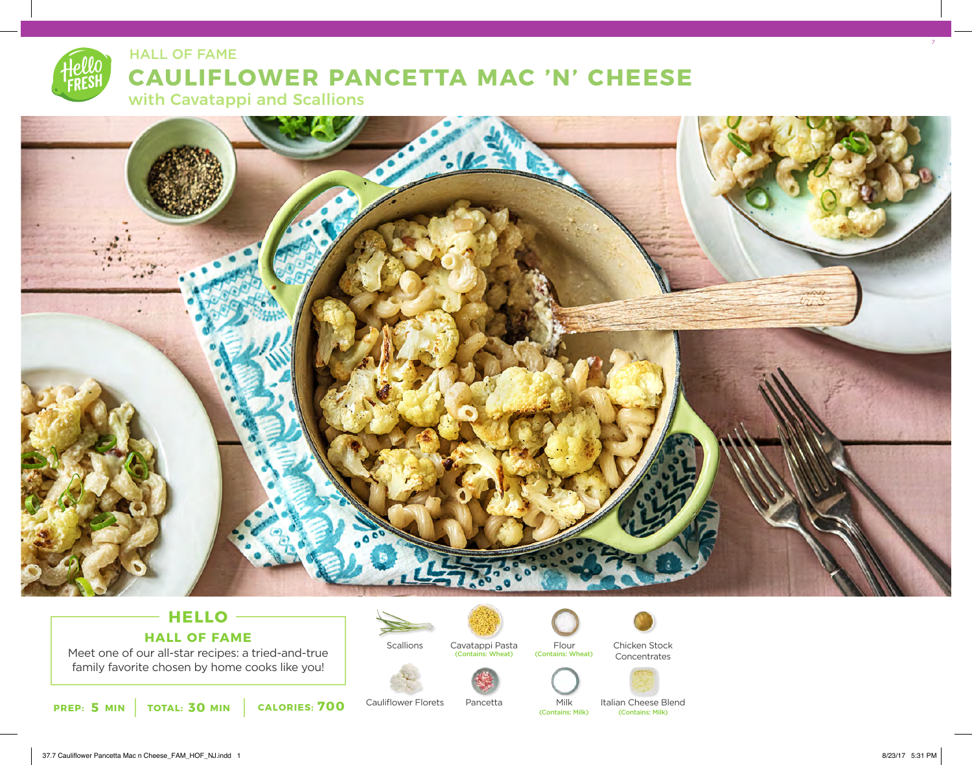## **CAULIFLOWER PANCETTA MAC 'N' CHEESE** HALL OF FAME





## **HELLO HALL OF FAME**

Meet one of our all-star recipes: a tried-and-true family favorite chosen by home cooks like you!



Cauliflower Florets

**Scallions** 



Pancetta



Milk

Chicken Stock Concentrates



(Contains: Milk) (Contains: Milk)

Italian Cheese Blend<br> **Contains: Milk**)

7